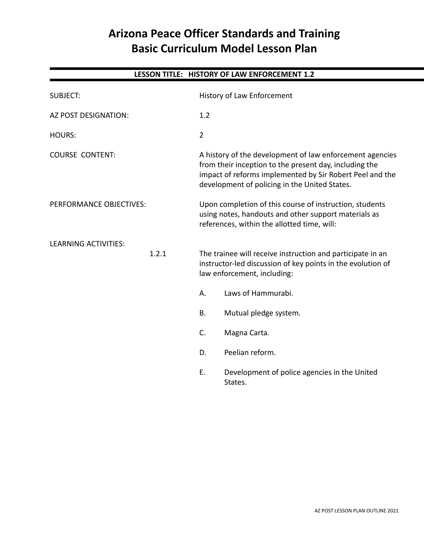## **Arizona Peace Officer Standards and Training Basic Curriculum Model Lesson Plan**

# **LESSON TITLE: HISTORY OF LAW ENFORCEMENT 1.2** SUBJECT: History of Law Enforcement AZ POST DESIGNATION: 1.2 HOURS: 2 COURSE CONTENT: A history of the development of law enforcement agencies from their inception to the present day, including the impact of reforms implemented by Sir Robert Peel and the development of policing in the United States. PERFORMANCE OBJECTIVES: Upon completion of this course of instruction, students using notes, handouts and other support materials as references, within the allotted time, will: LEARNING ACTIVITIES: 1.2.1 The trainee will receive instruction and participate in an instructor-led discussion of key points in the evolution of law enforcement, including: A. Laws of Hammurabi. B. Mutual pledge system. C. Magna Carta. D. Peelian reform.

E. Development of police agencies in the United States.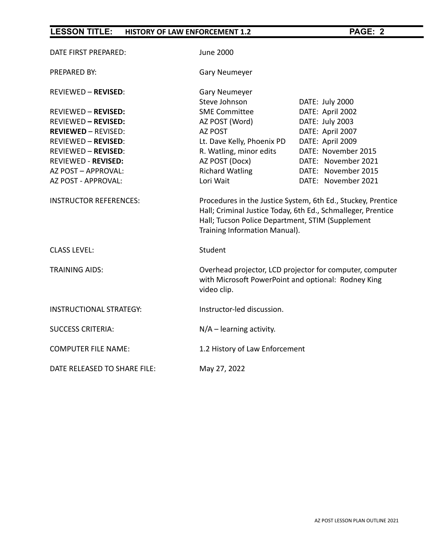| DATE FIRST PREPARED:           | <b>June 2000</b>                                                                                                                                                                                                  |                     |
|--------------------------------|-------------------------------------------------------------------------------------------------------------------------------------------------------------------------------------------------------------------|---------------------|
| <b>PREPARED BY:</b>            | <b>Gary Neumeyer</b>                                                                                                                                                                                              |                     |
| <b>REVIEWED - REVISED:</b>     | <b>Gary Neumeyer</b><br>Steve Johnson                                                                                                                                                                             | DATE: July 2000     |
| <b>REVIEWED - REVISED:</b>     | <b>SME Committee</b>                                                                                                                                                                                              | DATE: April 2002    |
| <b>REVIEWED - REVISED:</b>     | AZ POST (Word)                                                                                                                                                                                                    | DATE: July 2003     |
| <b>REVIEWED - REVISED:</b>     | AZ POST                                                                                                                                                                                                           | DATE: April 2007    |
| <b>REVIEWED - REVISED:</b>     | Lt. Dave Kelly, Phoenix PD                                                                                                                                                                                        | DATE: April 2009    |
| <b>REVIEWED - REVISED:</b>     | R. Watling, minor edits                                                                                                                                                                                           | DATE: November 2015 |
| <b>REVIEWED - REVISED:</b>     | AZ POST (Docx)                                                                                                                                                                                                    | DATE: November 2021 |
| AZ POST - APPROVAL:            | <b>Richard Watling</b>                                                                                                                                                                                            | DATE: November 2015 |
| AZ POST - APPROVAL:            | Lori Wait                                                                                                                                                                                                         | DATE: November 2021 |
| <b>INSTRUCTOR REFERENCES:</b>  | Procedures in the Justice System, 6th Ed., Stuckey, Prentice<br>Hall; Criminal Justice Today, 6th Ed., Schmalleger, Prentice<br>Hall; Tucson Police Department, STIM (Supplement<br>Training Information Manual). |                     |
| <b>CLASS LEVEL:</b>            | Student                                                                                                                                                                                                           |                     |
| <b>TRAINING AIDS:</b>          | Overhead projector, LCD projector for computer, computer<br>with Microsoft PowerPoint and optional: Rodney King<br>video clip.                                                                                    |                     |
| <b>INSTRUCTIONAL STRATEGY:</b> | Instructor-led discussion.                                                                                                                                                                                        |                     |
| <b>SUCCESS CRITERIA:</b>       | $N/A$ – learning activity.                                                                                                                                                                                        |                     |
| <b>COMPUTER FILE NAME:</b>     | 1.2 History of Law Enforcement                                                                                                                                                                                    |                     |
| DATE RELEASED TO SHARE FILE:   | May 27, 2022                                                                                                                                                                                                      |                     |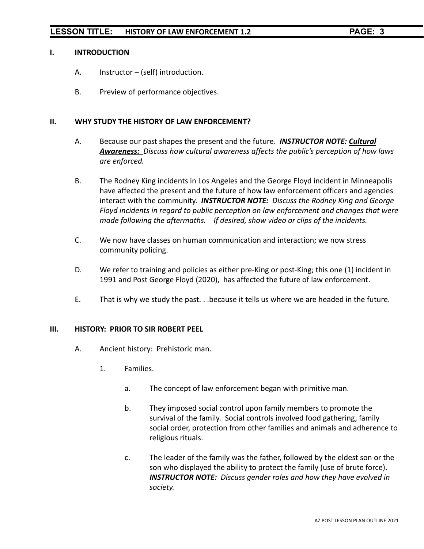#### **I. INTRODUCTION**

- A. Instructor (self) introduction.
- B. Preview of performance objectives.

#### **II. WHY STUDY THE HISTORY OF LAW ENFORCEMENT?**

- A. Because our past shapes the present and the future. *INSTRUCTOR NOTE: Cultural Awareness: Discuss how cultural awareness affects the public's perception of how laws are enforced.*
- B. The Rodney King incidents in Los Angeles and the George Floyd incident in Minneapolis have affected the present and the future of how law enforcement officers and agencies interact with the community. *INSTRUCTOR NOTE: Discuss the Rodney King and George Floyd incidents in regard to public perception on law enforcement and changes that were made following the aftermaths. If desired, show video or clips of the incidents.*
- C. We now have classes on human communication and interaction; we now stress community policing.
- D. We refer to training and policies as either pre-King or post-King; this one (1) incident in 1991 and Post George Floyd (2020), has affected the future of law enforcement.
- E. That is why we study the past. . .because it tells us where we are headed in the future.

#### **III. HISTORY: PRIOR TO SIR ROBERT PEEL**

- A. Ancient history: Prehistoric man.
	- 1. Families.
		- a. The concept of law enforcement began with primitive man.
		- b. They imposed social control upon family members to promote the survival of the family. Social controls involved food gathering, family social order, protection from other families and animals and adherence to religious rituals.
		- c. The leader of the family was the father, followed by the eldest son or the son who displayed the ability to protect the family (use of brute force). *INSTRUCTOR NOTE: Discuss gender roles and how they have evolved in society.*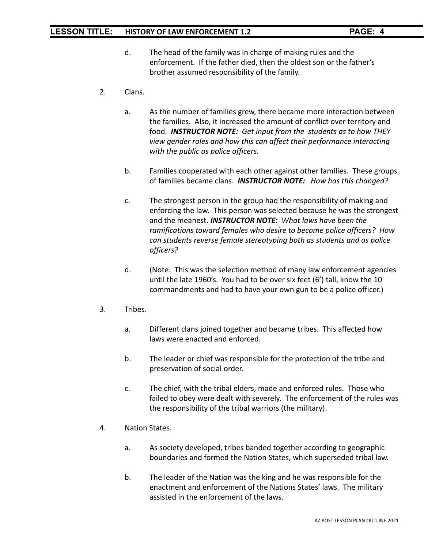- d. The head of the family was in charge of making rules and the enforcement. If the father died, then the oldest son or the father's brother assumed responsibility of the family.
- 2. Clans.
	- a. As the number of families grew, there became more interaction between the families. Also, it increased the amount of conflict over territory and food. *INSTRUCTOR NOTE: Get input from the students as to how THEY view gender roles and how this can affect their performance interacting with the public as police officers.*
	- b. Families cooperated with each other against other families. These groups of families became clans. *INSTRUCTOR NOTE: How has this changed?*
	- c. The strongest person in the group had the responsibility of making and enforcing the law. This person was selected because he was the strongest and the meanest. *INSTRUCTOR NOTE: What laws have been the ramifications toward females who desire to become police officers? How can students reverse female stereotyping both as students and as police officers?*
	- d. (Note: This was the selection method of many law enforcement agencies until the late 1960's. You had to be over six feet (6') tall, know the 10 commandments and had to have your own gun to be a police officer.)
- 3. Tribes.
	- a. Different clans joined together and became tribes. This affected how laws were enacted and enforced.
	- b. The leader or chief was responsible for the protection of the tribe and preservation of social order.
	- c. The chief, with the tribal elders, made and enforced rules. Those who failed to obey were dealt with severely. The enforcement of the rules was the responsibility of the tribal warriors (the military).
- 4. Nation States.
	- a. As society developed, tribes banded together according to geographic boundaries and formed the Nation States, which superseded tribal law.
	- b. The leader of the Nation was the king and he was responsible for the enactment and enforcement of the Nations States' laws. The military assisted in the enforcement of the laws.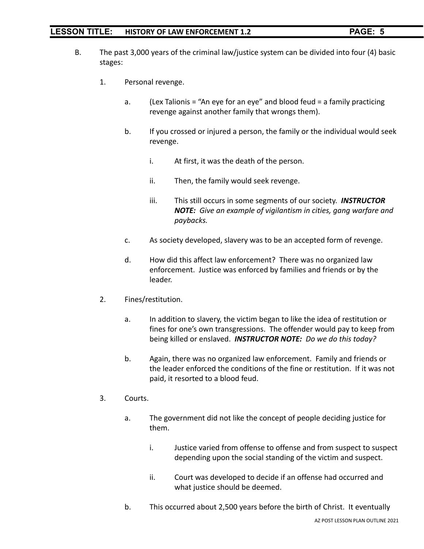- B. The past 3,000 years of the criminal law/justice system can be divided into four (4) basic stages:
	- 1. Personal revenge.
		- a. (Lex Talionis = "An eye for an eye" and blood feud = a family practicing revenge against another family that wrongs them).
		- b. If you crossed or injured a person, the family or the individual would seek revenge.
			- i. At first, it was the death of the person.
			- ii. Then, the family would seek revenge.
			- iii. This still occurs in some segments of our society. *INSTRUCTOR NOTE: Give an example of vigilantism in cities, gang warfare and paybacks.*
		- c. As society developed, slavery was to be an accepted form of revenge.
		- d. How did this affect law enforcement? There was no organized law enforcement. Justice was enforced by families and friends or by the leader.
	- 2. Fines/restitution.
		- a. In addition to slavery, the victim began to like the idea of restitution or fines for one's own transgressions. The offender would pay to keep from being killed or enslaved. *INSTRUCTOR NOTE: Do we do this today?*
		- b. Again, there was no organized law enforcement. Family and friends or the leader enforced the conditions of the fine or restitution. If it was not paid, it resorted to a blood feud.
	- 3. Courts.
		- a. The government did not like the concept of people deciding justice for them.
			- i. Justice varied from offense to offense and from suspect to suspect depending upon the social standing of the victim and suspect.
			- ii. Court was developed to decide if an offense had occurred and what justice should be deemed.
		- b. This occurred about 2,500 years before the birth of Christ. It eventually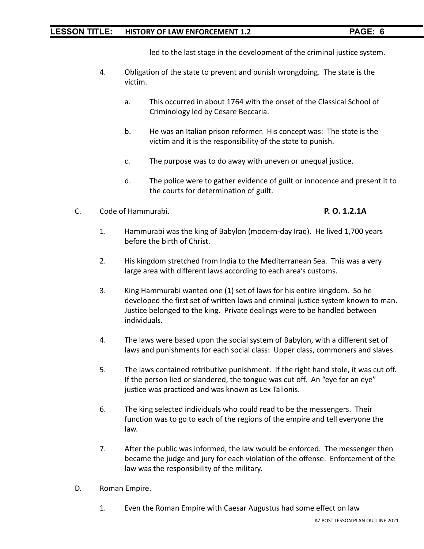led to the last stage in the development of the criminal justice system.

- 4. Obligation of the state to prevent and punish wrongdoing. The state is the victim.
	- a. This occurred in about 1764 with the onset of the Classical School of Criminology led by Cesare Beccaria.
	- b. He was an Italian prison reformer. His concept was: The state is the victim and it is the responsibility of the state to punish.
	- c. The purpose was to do away with uneven or unequal justice.
	- d. The police were to gather evidence of guilt or innocence and present it to the courts for determination of guilt.
- C. Code of Hammurabi. **P. O. 1.2.1A**

- 1. Hammurabi was the king of Babylon (modern-day Iraq). He lived 1,700 years before the birth of Christ.
- 2. His kingdom stretched from India to the Mediterranean Sea. This was a very large area with different laws according to each area's customs.
- 3. King Hammurabi wanted one (1) set of laws for his entire kingdom. So he developed the first set of written laws and criminal justice system known to man. Justice belonged to the king. Private dealings were to be handled between individuals.
- 4. The laws were based upon the social system of Babylon, with a different set of laws and punishments for each social class: Upper class, commoners and slaves.
- 5. The laws contained retributive punishment. If the right hand stole, it was cut off. If the person lied or slandered, the tongue was cut off. An "eye for an eye" justice was practiced and was known as Lex Talionis.
- 6. The king selected individuals who could read to be the messengers. Their function was to go to each of the regions of the empire and tell everyone the law.
- 7. After the public was informed, the law would be enforced. The messenger then became the judge and jury for each violation of the offense. Enforcement of the law was the responsibility of the military.
- D. Roman Empire.
	- 1. Even the Roman Empire with Caesar Augustus had some effect on law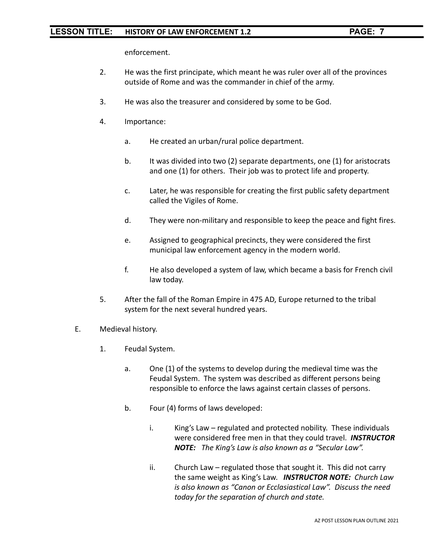enforcement.

- 2. He was the first principate, which meant he was ruler over all of the provinces outside of Rome and was the commander in chief of the army.
- 3. He was also the treasurer and considered by some to be God.
- 4. Importance:
	- a. He created an urban/rural police department.
	- b. It was divided into two (2) separate departments, one (1) for aristocrats and one (1) for others. Their job was to protect life and property.
	- c. Later, he was responsible for creating the first public safety department called the Vigiles of Rome.
	- d. They were non-military and responsible to keep the peace and fight fires.
	- e. Assigned to geographical precincts, they were considered the first municipal law enforcement agency in the modern world.
	- f. He also developed a system of law, which became a basis for French civil law today.
- 5. After the fall of the Roman Empire in 475 AD, Europe returned to the tribal system for the next several hundred years.
- E. Medieval history.
	- 1. Feudal System.
		- a. One (1) of the systems to develop during the medieval time was the Feudal System. The system was described as different persons being responsible to enforce the laws against certain classes of persons.
		- b. Four (4) forms of laws developed:
			- i. King's Law regulated and protected nobility. These individuals were considered free men in that they could travel. *INSTRUCTOR NOTE: The King's Law is also known as a "Secular Law".*
			- ii. Church Law regulated those that sought it. This did not carry the same weight as King's Law. *INSTRUCTOR NOTE: Church Law is also known as "Canon or Ecclasiastical Law". Discuss the need today for the separation of church and state.*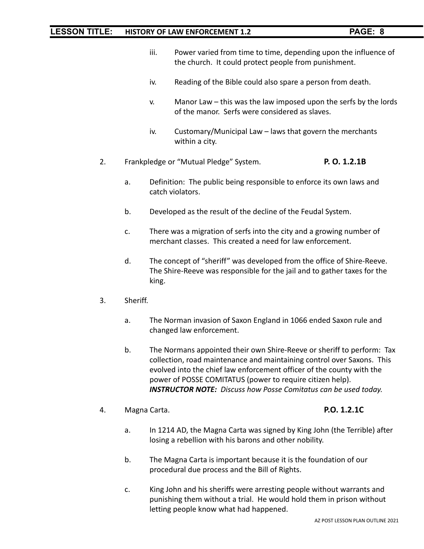- iii. Power varied from time to time, depending upon the influence of the church. It could protect people from punishment.
- iv. Reading of the Bible could also spare a person from death.
- v. Manor Law this was the law imposed upon the serfs by the lords of the manor. Serfs were considered as slaves.
- iv. Customary/Municipal Law laws that govern the merchants within a city.
- 2. Frankpledge or "Mutual Pledge" System. **P. O. 1.2.1B**
	- a. Definition: The public being responsible to enforce its own laws and catch violators.
	- b. Developed as the result of the decline of the Feudal System.
	- c. There was a migration of serfs into the city and a growing number of merchant classes. This created a need for law enforcement.
	- d. The concept of "sheriff" was developed from the office of Shire-Reeve. The Shire-Reeve was responsible for the jail and to gather taxes for the king.
- 3. Sheriff.
	- a. The Norman invasion of Saxon England in 1066 ended Saxon rule and changed law enforcement.
	- b. The Normans appointed their own Shire-Reeve or sheriff to perform: Tax collection, road maintenance and maintaining control over Saxons. This evolved into the chief law enforcement officer of the county with the power of POSSE COMITATUS (power to require citizen help). *INSTRUCTOR NOTE: Discuss how Posse Comitatus can be used today.*
- 4. Magna Carta. **P.O. 1.2.1C**

- a. In 1214 AD, the Magna Carta was signed by King John (the Terrible) after losing a rebellion with his barons and other nobility.
- b. The Magna Carta is important because it is the foundation of our procedural due process and the Bill of Rights.
- c. King John and his sheriffs were arresting people without warrants and punishing them without a trial. He would hold them in prison without letting people know what had happened.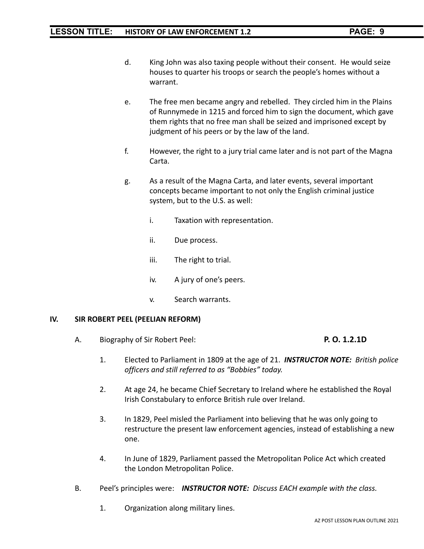- d. King John was also taxing people without their consent. He would seize houses to quarter his troops or search the people's homes without a warrant.
- e. The free men became angry and rebelled. They circled him in the Plains of Runnymede in 1215 and forced him to sign the document, which gave them rights that no free man shall be seized and imprisoned except by judgment of his peers or by the law of the land.
- f. However, the right to a jury trial came later and is not part of the Magna Carta.
- g. As a result of the Magna Carta, and later events, several important concepts became important to not only the English criminal justice system, but to the U.S. as well:
	- i. Taxation with representation.
	- ii. Due process.
	- iii. The right to trial.
	- iv. A jury of one's peers.
	- v. Search warrants.

#### **IV. SIR ROBERT PEEL (PEELIAN REFORM)**

A. Biography of Sir Robert Peel: **P. O. 1.2.1D**

- 1. Elected to Parliament in 1809 at the age of 21. *INSTRUCTOR NOTE: British police officers and still referred to as "Bobbies" today.*
- 2. At age 24, he became Chief Secretary to Ireland where he established the Royal Irish Constabulary to enforce British rule over Ireland.
- 3. In 1829, Peel misled the Parliament into believing that he was only going to restructure the present law enforcement agencies, instead of establishing a new one.
- 4. In June of 1829, Parliament passed the Metropolitan Police Act which created the London Metropolitan Police.
- B. Peel's principles were: *INSTRUCTOR NOTE: Discuss EACH example with the class.*
	- 1. Organization along military lines.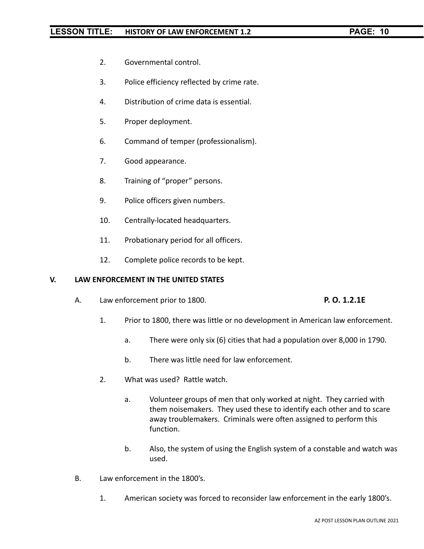- 2. Governmental control.
- 3. Police efficiency reflected by crime rate.
- 4. Distribution of crime data is essential.
- 5. Proper deployment.
- 6. Command of temper (professionalism).
- 7. Good appearance.
- 8. Training of "proper" persons.
- 9. Police officers given numbers.
- 10. Centrally-located headquarters.
- 11. Probationary period for all officers.
- 12. Complete police records to be kept.

#### **V. LAW ENFORCEMENT IN THE UNITED STATES**

A. Law enforcement prior to 1800. **P. O. 1.2.1E**

- 1. Prior to 1800, there was little or no development in American law enforcement.
	- a. There were only six (6) cities that had a population over 8,000 in 1790.
	- b. There was little need for law enforcement.
- 2. What was used? Rattle watch.
	- a. Volunteer groups of men that only worked at night. They carried with them noisemakers. They used these to identify each other and to scare away troublemakers. Criminals were often assigned to perform this function.
	- b. Also, the system of using the English system of a constable and watch was used.
- B. Law enforcement in the 1800's.
	- 1. American society was forced to reconsider law enforcement in the early 1800's.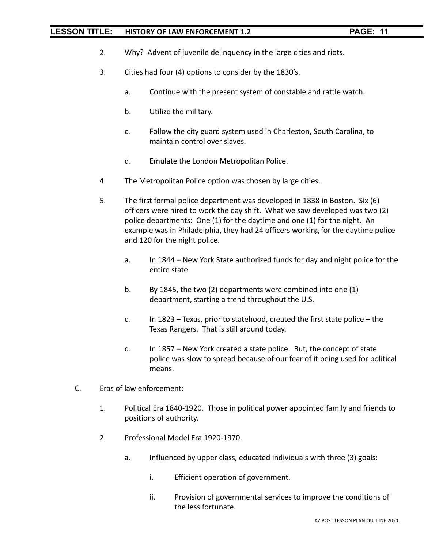- 2. Why? Advent of juvenile delinquency in the large cities and riots.
- 3. Cities had four (4) options to consider by the 1830's.
	- a. Continue with the present system of constable and rattle watch.
	- b. Utilize the military.
	- c. Follow the city guard system used in Charleston, South Carolina, to maintain control over slaves.
	- d. Emulate the London Metropolitan Police.
- 4. The Metropolitan Police option was chosen by large cities.
- 5. The first formal police department was developed in 1838 in Boston. Six (6) officers were hired to work the day shift. What we saw developed was two (2) police departments: One (1) for the daytime and one (1) for the night. An example was in Philadelphia, they had 24 officers working for the daytime police and 120 for the night police.
	- a. In 1844 New York State authorized funds for day and night police for the entire state.
	- b. By 1845, the two (2) departments were combined into one (1) department, starting a trend throughout the U.S.
	- c. In 1823 Texas, prior to statehood, created the first state police the Texas Rangers. That is still around today.
	- d. In 1857 New York created a state police. But, the concept of state police was slow to spread because of our fear of it being used for political means.
- C. Eras of law enforcement:
	- 1. Political Era 1840-1920. Those in political power appointed family and friends to positions of authority.
	- 2. Professional Model Era 1920-1970.
		- a. Influenced by upper class, educated individuals with three (3) goals:
			- i. Efficient operation of government.
			- ii. Provision of governmental services to improve the conditions of the less fortunate.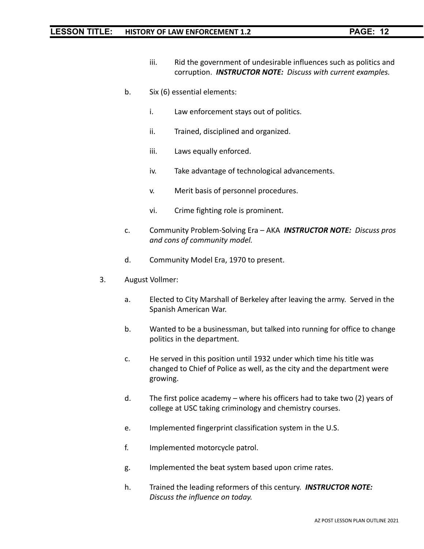- iii. Rid the government of undesirable influences such as politics and corruption. *INSTRUCTOR NOTE: Discuss with current examples.*
- b. Six (6) essential elements:
	- i. Law enforcement stays out of politics.
	- ii. Trained, disciplined and organized.
	- iii. Laws equally enforced.
	- iv. Take advantage of technological advancements.
	- v. Merit basis of personnel procedures.
	- vi. Crime fighting role is prominent.
- c. Community Problem-Solving Era AKA *INSTRUCTOR NOTE: Discuss pros and cons of community model.*
- d. Community Model Era, 1970 to present.
- 3. August Vollmer:
	- a. Elected to City Marshall of Berkeley after leaving the army. Served in the Spanish American War.
	- b. Wanted to be a businessman, but talked into running for office to change politics in the department.
	- c. He served in this position until 1932 under which time his title was changed to Chief of Police as well, as the city and the department were growing.
	- d. The first police academy where his officers had to take two (2) years of college at USC taking criminology and chemistry courses.
	- e. Implemented fingerprint classification system in the U.S.
	- f. Implemented motorcycle patrol.
	- g. Implemented the beat system based upon crime rates.
	- h. Trained the leading reformers of this century. *INSTRUCTOR NOTE: Discuss the influence on today.*